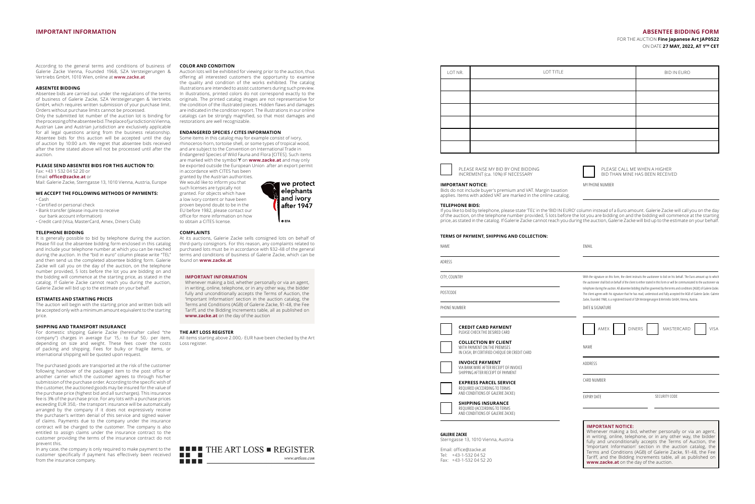## **IMPORTANT INFORMATION ABSENTEE BIDDING FORM**

FOR THE AUCTION **Fine Japanese Art JAP0522**  ON DATE **27 MAY, 2022, AT 1PM CET**

| LOT NR. | LOT TITLE | <b>BID IN EURO</b> |
|---------|-----------|--------------------|
|         |           |                    |
|         |           |                    |
|         |           |                    |
|         |           |                    |
|         |           |                    |
|         |           |                    |



PLEASE RAISE MY BID BY ONE BIDDING INCREMENT (ca. 10%) IF NECESSARY



MY PHONE NUMBER

BID THAN MINE HAS BEEN RECEIVED

'Important Information' section in the auction catalog, the Terms and Conditions (AGB) of Galerie Zacke, §1-48, the Fee Tariff, and the Bidding Increments table, all as published on

**www.zacke.at** on the day of the auction.

**IMPORTANT NOTICE:** 

Bids do not include buyer's premium and VAT. Margin taxation applies. Items with added VAT are marked in the online catalog.

**TERMS OF PAYMENT, SHIPPING AND COLLECTION:**

## **TELEPHONE BIDS:**

If you like to bid by telephone, please state 'TEL' in the 'BID IN EURO' column instead of a Euro amount. Galerie Zacke will call you on the day of the auction, on the telephone number provided, 5 lots before the lot you are bidding on and the bidding will commence at the starting price, as stated in the catalog. If Galerie Zacke cannot reach you during the auction, Galerie Zacke will bid up to the estimate on your behalf.

| <b>ILINIS OF FATINENT, SHIFFHNG AND COLLECTION.</b>                                                        |                                                                                                                                                                                                                                                                                                                                                            |
|------------------------------------------------------------------------------------------------------------|------------------------------------------------------------------------------------------------------------------------------------------------------------------------------------------------------------------------------------------------------------------------------------------------------------------------------------------------------------|
| NAME                                                                                                       | EMAIL                                                                                                                                                                                                                                                                                                                                                      |
| ADRESS                                                                                                     |                                                                                                                                                                                                                                                                                                                                                            |
| CITY, COUNTRY                                                                                              | With the signature on this form, the client instructs the auctioneer to bid on his behalf. The Euro amount up to which<br>the auctioneer shall bid on behalf of the client is either stated in this form or will be communicated to the auctioneer via                                                                                                     |
| POSTCODE                                                                                                   | telephone during the auction. All absentee bidding shall be governed by the terms and conditions [AGB] of Galerie Zacke.<br>The client agrees with his signature that he has read, understood and fully accepted the AGB of Galerie Zacke. Galerie<br>Zacke, founded 1968, is a registered brand of SZA Versteigerungen & Vertriebs GmbH, Vienna, Austria. |
| PHONE NUMBER                                                                                               | DATE & SIGNATURE                                                                                                                                                                                                                                                                                                                                           |
| <b>CREDIT CARD PAYMENT</b><br>PLEASE CHECK THE DESIRED CARD                                                | <b>DINERS</b><br>MASTERCARD<br><b>VISA</b><br>AMEX                                                                                                                                                                                                                                                                                                         |
| <b>COLLECTION BY CLIENT</b><br>WITH PAYMENT ON THE PREMISES<br>IN CASH, BY CERTIFIED CHEQUE OR CREDIT CARD | <b>NAMF</b>                                                                                                                                                                                                                                                                                                                                                |
| <b>INVOICE PAYMENT</b><br>VIA BANK WIRE AFTER RECEIPT OF INVOICE<br>SHIPPING AFTER RECEIPT OF PAYMENT      | ADDRESS                                                                                                                                                                                                                                                                                                                                                    |
| <b>EXPRESS PARCEL SERVICE</b><br>REQUIRED (ACCORDING TO TERMS<br>AND CONDITIONS OF GALERIE ZACKE)          | CARD NUMBER                                                                                                                                                                                                                                                                                                                                                |
| <b>SHIPPING INSURANCE</b><br>REQUIRED (ACCORDING TO TERMS<br>AND CONDITIONS OF GALERIE ZACKE)              | <b>EXPIRY DATE</b><br>SECURITY CODE                                                                                                                                                                                                                                                                                                                        |
| <b>GALERIE ZACKE</b><br>Sterngasse 13, 1010 Vienna, Austria                                                | <b>IMPORTANT NOTICE:</b><br>Whenever making a bid, whether personally or via an agent,<br>in writing, online, telephone, or in any other way, the bidder<br>fully and unconditionally accepts the Terms of Auction, the                                                                                                                                    |

Email: office@zacke.at Tel: +43-1-532 04 52 Fax: +43-1-532 04 52 20